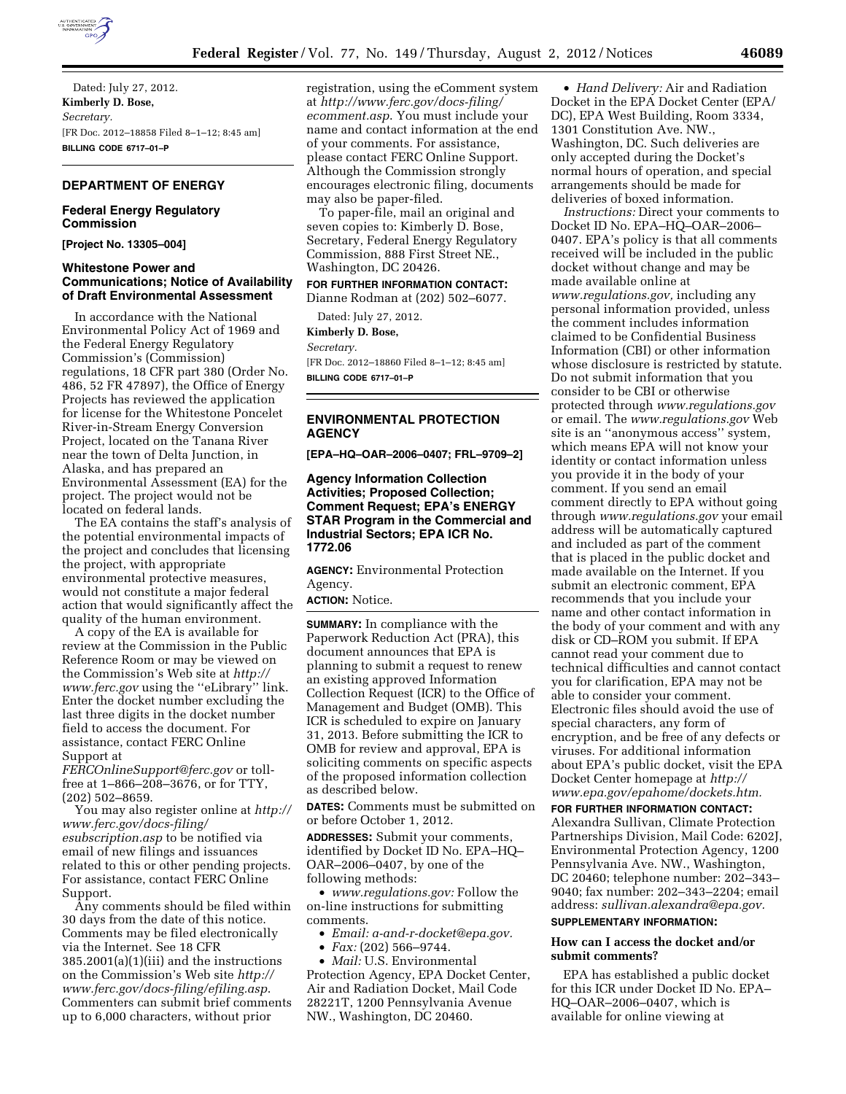

Dated: July 27, 2012. **Kimberly D. Bose,**  *Secretary.*  [FR Doc. 2012–18858 Filed 8–1–12; 8:45 am] **BILLING CODE 6717–01–P** 

#### **DEPARTMENT OF ENERGY**

# **Federal Energy Regulatory Commission**

**[Project No. 13305–004]** 

#### **Whitestone Power and Communications; Notice of Availability of Draft Environmental Assessment**

In accordance with the National Environmental Policy Act of 1969 and the Federal Energy Regulatory Commission's (Commission) regulations, 18 CFR part 380 (Order No. 486, 52 FR 47897), the Office of Energy Projects has reviewed the application for license for the Whitestone Poncelet River-in-Stream Energy Conversion Project, located on the Tanana River near the town of Delta Junction, in Alaska, and has prepared an Environmental Assessment (EA) for the project. The project would not be located on federal lands.

The EA contains the staff's analysis of the potential environmental impacts of the project and concludes that licensing the project, with appropriate environmental protective measures, would not constitute a major federal action that would significantly affect the quality of the human environment.

A copy of the EA is available for review at the Commission in the Public Reference Room or may be viewed on the Commission's Web site at *[http://](http://www.ferc.gov) [www.ferc.gov](http://www.ferc.gov)* using the ''eLibrary'' link. Enter the docket number excluding the last three digits in the docket number field to access the document. For assistance, contact FERC Online Support at

*[FERCOnlineSupport@ferc.gov](mailto:FERCOnlineSupport@ferc.gov)* or tollfree at 1–866–208–3676, or for TTY, (202) 502–8659.

You may also register online at *[http://](http://www.ferc.gov/docs-filing/esubscription.asp)  [www.ferc.gov/docs-filing/](http://www.ferc.gov/docs-filing/esubscription.asp)  [esubscription.asp](http://www.ferc.gov/docs-filing/esubscription.asp)* to be notified via email of new filings and issuances related to this or other pending projects. For assistance, contact FERC Online Support.

Any comments should be filed within 30 days from the date of this notice. Comments may be filed electronically via the Internet. See 18 CFR 385.2001(a)(1)(iii) and the instructions on the Commission's Web site *[http://](http://www.ferc.gov/docs-filing/efiling.asp) [www.ferc.gov/docs-filing/efiling.asp](http://www.ferc.gov/docs-filing/efiling.asp)*. Commenters can submit brief comments up to 6,000 characters, without prior

registration, using the eComment system at *[http://www.ferc.gov/docs-filing/](http://www.ferc.gov/docs-filing/ecomment.asp) [ecomment.asp](http://www.ferc.gov/docs-filing/ecomment.asp)*. You must include your name and contact information at the end of your comments. For assistance, please contact FERC Online Support. Although the Commission strongly encourages electronic filing, documents may also be paper-filed.

To paper-file, mail an original and seven copies to: Kimberly D. Bose, Secretary, Federal Energy Regulatory Commission, 888 First Street NE., Washington, DC 20426.

# **FOR FURTHER INFORMATION CONTACT:**

Dianne Rodman at (202) 502–6077.

Dated: July 27, 2012.

**Kimberly D. Bose,** 

*Secretary.* 

[FR Doc. 2012–18860 Filed 8–1–12; 8:45 am] **BILLING CODE 6717–01–P** 

# **ENVIRONMENTAL PROTECTION AGENCY**

**[EPA–HQ–OAR–2006–0407; FRL–9709–2]** 

## **Agency Information Collection Activities; Proposed Collection; Comment Request; EPA's ENERGY STAR Program in the Commercial and Industrial Sectors; EPA ICR No. 1772.06**

**AGENCY:** Environmental Protection Agency.

**ACTION:** Notice.

**SUMMARY:** In compliance with the Paperwork Reduction Act (PRA), this document announces that EPA is planning to submit a request to renew an existing approved Information Collection Request (ICR) to the Office of Management and Budget (OMB). This ICR is scheduled to expire on January 31, 2013. Before submitting the ICR to OMB for review and approval, EPA is soliciting comments on specific aspects of the proposed information collection as described below.

**DATES:** Comments must be submitted on or before October 1, 2012.

**ADDRESSES:** Submit your comments, identified by Docket ID No. EPA–HQ– OAR–2006–0407, by one of the following methods:

• *[www.regulations.gov:](http://www.regulations.gov)* Follow the on-line instructions for submitting comments.

• *Email: [a-and-r-docket@epa.gov.](mailto:a-and-r-docket@epa.gov)* 

• *Fax:* (202) 566–9744.

• *Mail:* U.S. Environmental Protection Agency, EPA Docket Center, Air and Radiation Docket, Mail Code 28221T, 1200 Pennsylvania Avenue NW., Washington, DC 20460.

• *Hand Delivery:* Air and Radiation Docket in the EPA Docket Center (EPA/ DC), EPA West Building, Room 3334, 1301 Constitution Ave. NW., Washington, DC. Such deliveries are only accepted during the Docket's normal hours of operation, and special arrangements should be made for deliveries of boxed information.

*Instructions:* Direct your comments to Docket ID No. EPA–HQ–OAR–2006– 0407. EPA's policy is that all comments received will be included in the public docket without change and may be made available online at *[www.regulations.gov,](http://www.regulations.gov)* including any personal information provided, unless the comment includes information claimed to be Confidential Business Information (CBI) or other information whose disclosure is restricted by statute. Do not submit information that you consider to be CBI or otherwise protected through *[www.regulations.gov](http://www.regulations.gov)*  or email. The *[www.regulations.gov](http://www.regulations.gov)* Web site is an ''anonymous access'' system, which means EPA will not know your identity or contact information unless you provide it in the body of your comment. If you send an email comment directly to EPA without going through *[www.regulations.gov](http://www.regulations.gov)* your email address will be automatically captured and included as part of the comment that is placed in the public docket and made available on the Internet. If you submit an electronic comment, EPA recommends that you include your name and other contact information in the body of your comment and with any disk or CD–ROM you submit. If EPA cannot read your comment due to technical difficulties and cannot contact you for clarification, EPA may not be able to consider your comment. Electronic files should avoid the use of special characters, any form of encryption, and be free of any defects or viruses. For additional information about EPA's public docket, visit the EPA Docket Center homepage at *[http://](http://www.epa.gov/epahome/dockets.htm) [www.epa.gov/epahome/dockets.htm.](http://www.epa.gov/epahome/dockets.htm)* 

**FOR FURTHER INFORMATION CONTACT:**  Alexandra Sullivan, Climate Protection Partnerships Division, Mail Code: 6202J, Environmental Protection Agency, 1200 Pennsylvania Ave. NW., Washington, DC 20460; telephone number: 202–343– 9040; fax number: 202–343–2204; email address: *[sullivan.alexandra@epa.gov.](mailto:sullivan.alexandra@epa.gov)* 

#### **SUPPLEMENTARY INFORMATION:**

## **How can I access the docket and/or submit comments?**

EPA has established a public docket for this ICR under Docket ID No. EPA– HQ–OAR–2006–0407, which is available for online viewing at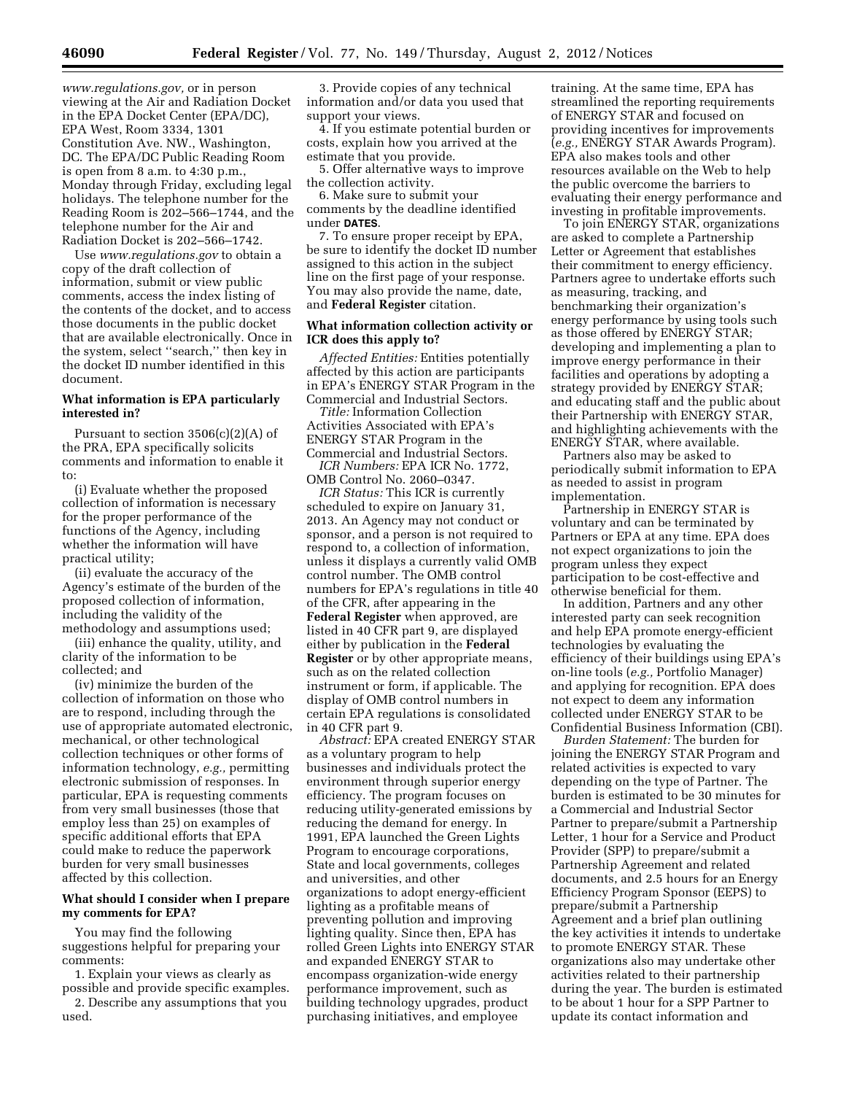*[www.regulations.gov,](http://www.regulations.gov)* or in person viewing at the Air and Radiation Docket in the EPA Docket Center (EPA/DC), EPA West, Room 3334, 1301 Constitution Ave. NW., Washington, DC. The EPA/DC Public Reading Room is open from 8 a.m. to 4:30 p.m., Monday through Friday, excluding legal holidays. The telephone number for the Reading Room is 202–566–1744, and the telephone number for the Air and Radiation Docket is 202–566–1742.

Use *[www.regulations.gov](http://www.regulations.gov)* to obtain a copy of the draft collection of information, submit or view public comments, access the index listing of the contents of the docket, and to access those documents in the public docket that are available electronically. Once in the system, select ''search,'' then key in the docket ID number identified in this document.

## **What information is EPA particularly interested in?**

Pursuant to section 3506(c)(2)(A) of the PRA, EPA specifically solicits comments and information to enable it to:

(i) Evaluate whether the proposed collection of information is necessary for the proper performance of the functions of the Agency, including whether the information will have practical utility;

(ii) evaluate the accuracy of the Agency's estimate of the burden of the proposed collection of information, including the validity of the methodology and assumptions used;

(iii) enhance the quality, utility, and clarity of the information to be collected; and

(iv) minimize the burden of the collection of information on those who are to respond, including through the use of appropriate automated electronic, mechanical, or other technological collection techniques or other forms of information technology, *e.g.,* permitting electronic submission of responses. In particular, EPA is requesting comments from very small businesses (those that employ less than 25) on examples of specific additional efforts that EPA could make to reduce the paperwork burden for very small businesses affected by this collection.

#### **What should I consider when I prepare my comments for EPA?**

You may find the following suggestions helpful for preparing your comments:

1. Explain your views as clearly as possible and provide specific examples.

2. Describe any assumptions that you used.

3. Provide copies of any technical information and/or data you used that support your views.

4. If you estimate potential burden or costs, explain how you arrived at the estimate that you provide.

5. Offer alternative ways to improve the collection activity.

6. Make sure to submit your comments by the deadline identified under **DATES**.

7. To ensure proper receipt by EPA, be sure to identify the docket ID number assigned to this action in the subject line on the first page of your response. You may also provide the name, date, and **Federal Register** citation.

## **What information collection activity or ICR does this apply to?**

*Affected Entities:* Entities potentially affected by this action are participants in EPA's ENERGY STAR Program in the Commercial and Industrial Sectors.

*Title:* Information Collection Activities Associated with EPA's ENERGY STAR Program in the Commercial and Industrial Sectors.

*ICR Numbers:* EPA ICR No. 1772, OMB Control No. 2060–0347.

*ICR Status:* This ICR is currently scheduled to expire on January 31, 2013. An Agency may not conduct or sponsor, and a person is not required to respond to, a collection of information, unless it displays a currently valid OMB control number. The OMB control numbers for EPA's regulations in title 40 of the CFR, after appearing in the **Federal Register** when approved, are listed in 40 CFR part 9, are displayed either by publication in the **Federal Register** or by other appropriate means, such as on the related collection instrument or form, if applicable. The display of OMB control numbers in certain EPA regulations is consolidated in 40 CFR part 9.

*Abstract:* EPA created ENERGY STAR as a voluntary program to help businesses and individuals protect the environment through superior energy efficiency. The program focuses on reducing utility-generated emissions by reducing the demand for energy. In 1991, EPA launched the Green Lights Program to encourage corporations, State and local governments, colleges and universities, and other organizations to adopt energy-efficient lighting as a profitable means of preventing pollution and improving lighting quality. Since then, EPA has rolled Green Lights into ENERGY STAR and expanded ENERGY STAR to encompass organization-wide energy performance improvement, such as building technology upgrades, product purchasing initiatives, and employee

training. At the same time, EPA has streamlined the reporting requirements of ENERGY STAR and focused on providing incentives for improvements (*e.g.,* ENERGY STAR Awards Program). EPA also makes tools and other resources available on the Web to help the public overcome the barriers to evaluating their energy performance and investing in profitable improvements.

To join ENERGY STAR, organizations are asked to complete a Partnership Letter or Agreement that establishes their commitment to energy efficiency. Partners agree to undertake efforts such as measuring, tracking, and benchmarking their organization's energy performance by using tools such as those offered by ENERGY STAR; developing and implementing a plan to improve energy performance in their facilities and operations by adopting a strategy provided by ENERGY STAR; and educating staff and the public about their Partnership with ENERGY STAR, and highlighting achievements with the ENERGY STAR, where available.

Partners also may be asked to periodically submit information to EPA as needed to assist in program implementation.

Partnership in ENERGY STAR is voluntary and can be terminated by Partners or EPA at any time. EPA does not expect organizations to join the program unless they expect participation to be cost-effective and otherwise beneficial for them.

In addition, Partners and any other interested party can seek recognition and help EPA promote energy-efficient technologies by evaluating the efficiency of their buildings using EPA's on-line tools (*e.g.,* Portfolio Manager) and applying for recognition. EPA does not expect to deem any information collected under ENERGY STAR to be Confidential Business Information (CBI).

*Burden Statement:* The burden for joining the ENERGY STAR Program and related activities is expected to vary depending on the type of Partner. The burden is estimated to be 30 minutes for a Commercial and Industrial Sector Partner to prepare/submit a Partnership Letter, 1 hour for a Service and Product Provider (SPP) to prepare/submit a Partnership Agreement and related documents, and 2.5 hours for an Energy Efficiency Program Sponsor (EEPS) to prepare/submit a Partnership Agreement and a brief plan outlining the key activities it intends to undertake to promote ENERGY STAR. These organizations also may undertake other activities related to their partnership during the year. The burden is estimated to be about 1 hour for a SPP Partner to update its contact information and